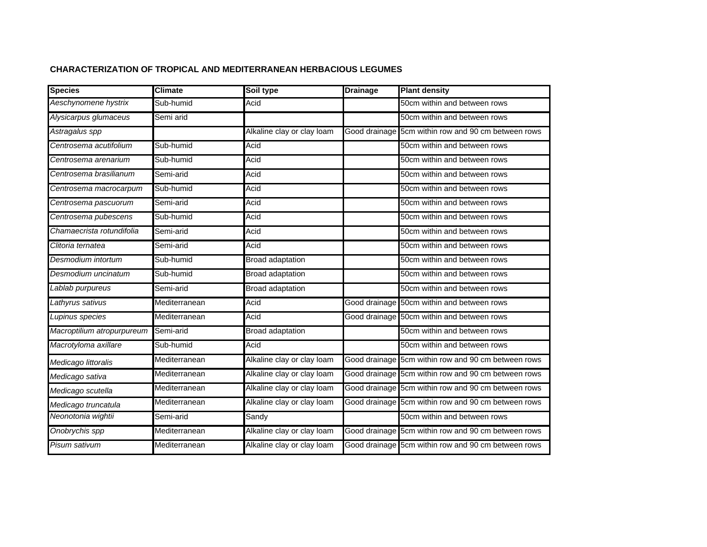## **CHARACTERIZATION OF TROPICAL AND MEDITERRANEAN HERBACIOUS LEGUMES**

| <b>Species</b>             | <b>Climate</b> | Soil type                  | <b>Drainage</b> | <b>Plant density</b>                                |
|----------------------------|----------------|----------------------------|-----------------|-----------------------------------------------------|
| Aeschynomene hystrix       | Sub-humid      | Acid                       |                 | 50cm within and between rows                        |
| Alysicarpus glumaceus      | Semi arid      |                            |                 | 50cm within and between rows                        |
| Astragalus spp             |                | Alkaline clay or clay loam |                 | Good drainage 5cm within row and 90 cm between rows |
| Centrosema acutifolium     | Sub-humid      | Acid                       |                 | 50cm within and between rows                        |
| Centrosema arenarium       | Sub-humid      | Acid                       |                 | 50cm within and between rows                        |
| Centrosema brasilianum     | Semi-arid      | Acid                       |                 | 50cm within and between rows                        |
| Centrosema macrocarpum     | Sub-humid      | Acid                       |                 | 50cm within and between rows                        |
| Centrosema pascuorum       | Semi-arid      | Acid                       |                 | 50cm within and between rows                        |
| Centrosema pubescens       | Sub-humid      | Acid                       |                 | 50cm within and between rows                        |
| Chamaecrista rotundifolia  | Semi-arid      | Acid                       |                 | 50cm within and between rows                        |
| Clitoria ternatea          | Semi-arid      | Acid                       |                 | 50cm within and between rows                        |
| Desmodium intortum         | Sub-humid      | <b>Broad adaptation</b>    |                 | 50cm within and between rows                        |
| Desmodium uncinatum        | Sub-humid      | <b>Broad adaptation</b>    |                 | 50cm within and between rows                        |
| Lablab purpureus           | Semi-arid      | <b>Broad adaptation</b>    |                 | 50cm within and between rows                        |
| Lathyrus sativus           | Mediterranean  | Acid                       |                 | Good drainage 50cm within and between rows          |
| Lupinus species            | Mediterranean  | Acid                       |                 | Good drainage 50cm within and between rows          |
| Macroptilium atropurpureum | Semi-arid      | <b>Broad adaptation</b>    |                 | 50cm within and between rows                        |
| Macrotyloma axillare       | Sub-humid      | Acid                       |                 | 50cm within and between rows                        |
| Medicago littoralis        | Mediterranean  | Alkaline clay or clay loam |                 | Good drainage 5cm within row and 90 cm between rows |
| Medicago sativa            | Mediterranean  | Alkaline clay or clay loam |                 | Good drainage 5cm within row and 90 cm between rows |
| Medicago scutella          | Mediterranean  | Alkaline clay or clay loam |                 | Good drainage 5cm within row and 90 cm between rows |
| Medicago truncatula        | Mediterranean  | Alkaline clay or clay loam |                 | Good drainage 5cm within row and 90 cm between rows |
| Neonotonia wightii         | Semi-arid      | Sandy                      |                 | 50cm within and between rows                        |
| Onobrychis spp             | Mediterranean  | Alkaline clay or clay loam |                 | Good drainage 5cm within row and 90 cm between rows |
| Pisum sativum              | Mediterranean  | Alkaline clay or clay loam |                 | Good drainage 5cm within row and 90 cm between rows |